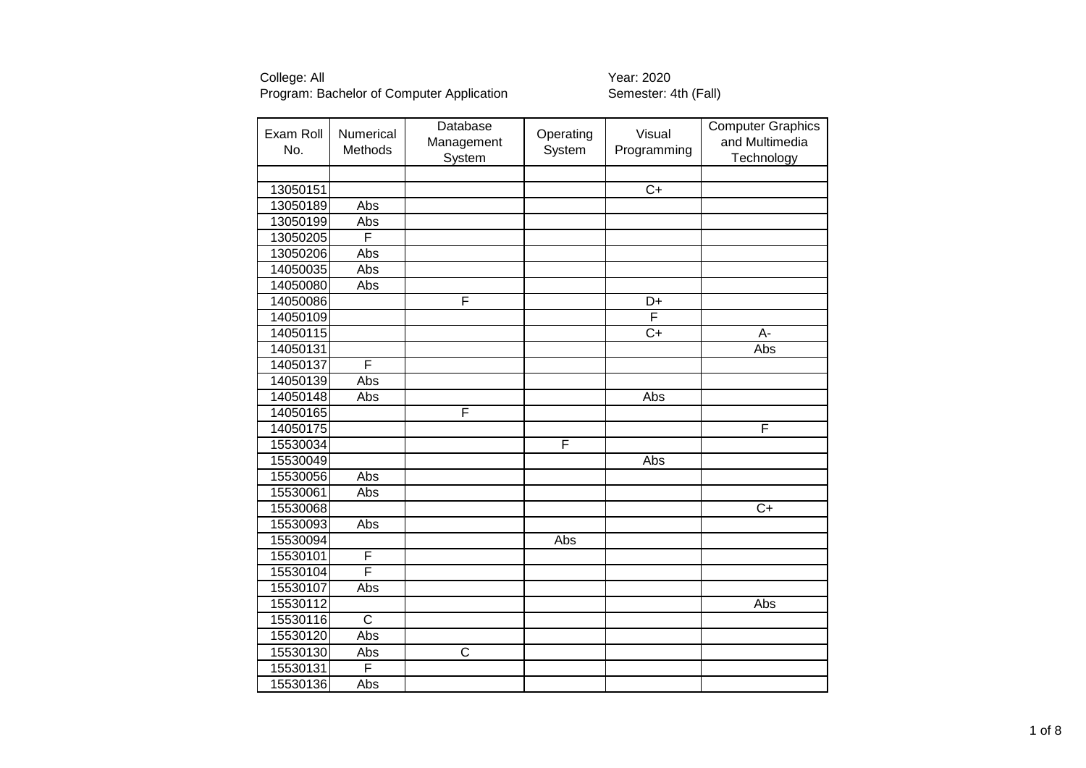| Exam Roll<br>No. | Numerical<br>Methods  | Database<br>Management<br>System | Operating<br>System | Visual<br>Programming | <b>Computer Graphics</b><br>and Multimedia<br>Technology |
|------------------|-----------------------|----------------------------------|---------------------|-----------------------|----------------------------------------------------------|
|                  |                       |                                  |                     |                       |                                                          |
| 13050151         |                       |                                  |                     | $\overline{C+}$       |                                                          |
| 13050189         | Abs                   |                                  |                     |                       |                                                          |
| 13050199         | Abs                   |                                  |                     |                       |                                                          |
| 13050205         | F                     |                                  |                     |                       |                                                          |
| 13050206         | Abs                   |                                  |                     |                       |                                                          |
| 14050035         | Abs                   |                                  |                     |                       |                                                          |
| 14050080         | Abs                   |                                  |                     |                       |                                                          |
| 14050086         |                       | F                                |                     | D+                    |                                                          |
| 14050109         |                       |                                  |                     | F                     |                                                          |
| 14050115         |                       |                                  |                     | $\overline{C+}$       | $A -$                                                    |
| 14050131         |                       |                                  |                     |                       | Abs                                                      |
| 14050137         | F                     |                                  |                     |                       |                                                          |
| 14050139         | Abs                   |                                  |                     |                       |                                                          |
| 14050148         | Abs                   |                                  |                     | Abs                   |                                                          |
| 14050165         |                       | F                                |                     |                       |                                                          |
| 14050175         |                       |                                  |                     |                       | F                                                        |
| 15530034         |                       |                                  | F                   |                       |                                                          |
| 15530049         |                       |                                  |                     | Abs                   |                                                          |
| 15530056         | Abs                   |                                  |                     |                       |                                                          |
| 15530061         | Abs                   |                                  |                     |                       |                                                          |
| 15530068         |                       |                                  |                     |                       | $C+$                                                     |
| 15530093         | Abs                   |                                  |                     |                       |                                                          |
| 15530094         |                       |                                  | Abs                 |                       |                                                          |
| 15530101         | F                     |                                  |                     |                       |                                                          |
| 15530104         | F                     |                                  |                     |                       |                                                          |
| 15530107         | Abs                   |                                  |                     |                       |                                                          |
| 15530112         |                       |                                  |                     |                       | Abs                                                      |
| 15530116         | $\overline{\text{c}}$ |                                  |                     |                       |                                                          |
| 15530120         | Abs                   |                                  |                     |                       |                                                          |
| 15530130         | Abs                   | $\overline{\text{c}}$            |                     |                       |                                                          |
| 15530131         | F                     |                                  |                     |                       |                                                          |
| 15530136         | Abs                   |                                  |                     |                       |                                                          |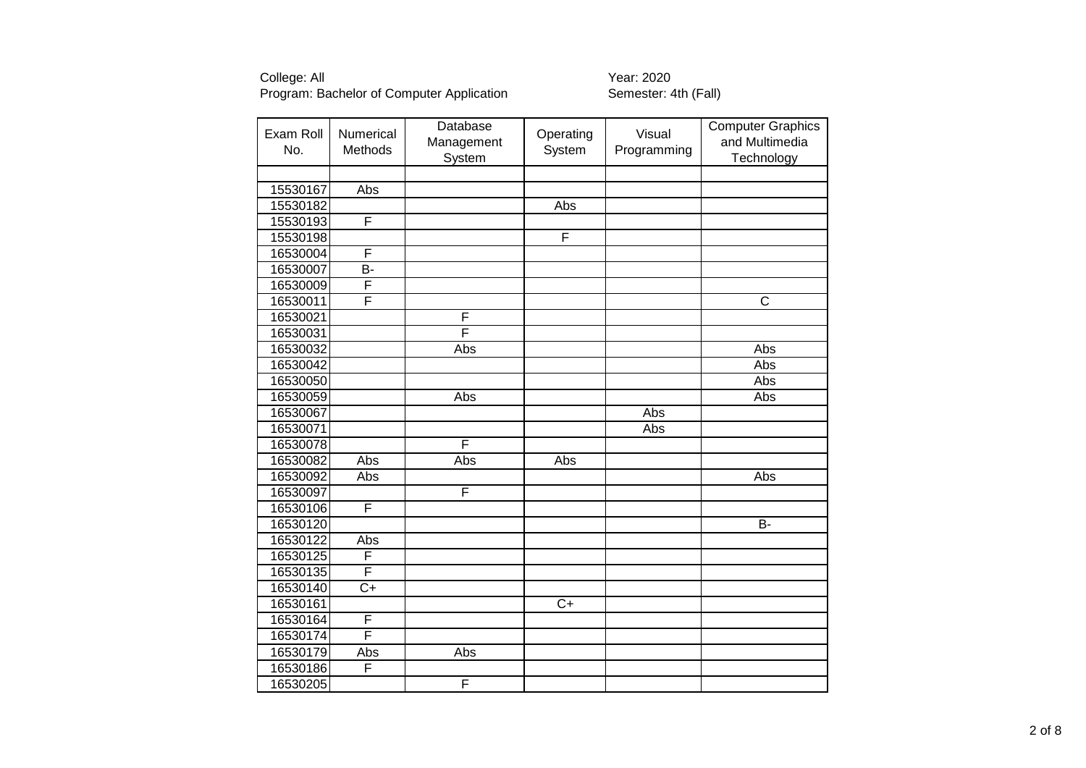| Exam Roll<br>No. | <b>Numerical</b><br>Methods | Database<br>Management<br>System | Operating<br>System | Visual<br>Programming | <b>Computer Graphics</b><br>and Multimedia<br>Technology |
|------------------|-----------------------------|----------------------------------|---------------------|-----------------------|----------------------------------------------------------|
|                  |                             |                                  |                     |                       |                                                          |
| 15530167         | Abs                         |                                  |                     |                       |                                                          |
| 15530182         |                             |                                  | Abs                 |                       |                                                          |
| 15530193         | F                           |                                  |                     |                       |                                                          |
| 15530198         |                             |                                  | F                   |                       |                                                          |
| 16530004         | F                           |                                  |                     |                       |                                                          |
| 16530007         | $\overline{B}$              |                                  |                     |                       |                                                          |
| 16530009         | F                           |                                  |                     |                       |                                                          |
| 16530011         | F                           |                                  |                     |                       | $\overline{\mathsf{C}}$                                  |
| 16530021         |                             | F                                |                     |                       |                                                          |
| 16530031         |                             | F                                |                     |                       |                                                          |
| 16530032         |                             | Abs                              |                     |                       | Abs                                                      |
| 16530042         |                             |                                  |                     |                       | Abs                                                      |
| 16530050         |                             |                                  |                     |                       | Abs                                                      |
| 16530059         |                             | Abs                              |                     |                       | Abs                                                      |
| 16530067         |                             |                                  |                     | <b>Abs</b>            |                                                          |
| 16530071         |                             |                                  |                     | Abs                   |                                                          |
| 16530078         |                             | F                                |                     |                       |                                                          |
| 16530082         | Abs                         | Abs                              | Abs                 |                       |                                                          |
| 16530092         | Abs                         |                                  |                     |                       | Abs                                                      |
| 16530097         |                             | F                                |                     |                       |                                                          |
| 16530106         | F                           |                                  |                     |                       |                                                          |
| 16530120         |                             |                                  |                     |                       | <b>B-</b>                                                |
| 16530122         | Abs                         |                                  |                     |                       |                                                          |
| 16530125         | F                           |                                  |                     |                       |                                                          |
| 16530135         | F                           |                                  |                     |                       |                                                          |
| 16530140         | $\overline{C+}$             |                                  |                     |                       |                                                          |
| 16530161         |                             |                                  | $C+$                |                       |                                                          |
| 16530164         | F                           |                                  |                     |                       |                                                          |
| 16530174         | F                           |                                  |                     |                       |                                                          |
| 16530179         | Abs                         | Abs                              |                     |                       |                                                          |
| 16530186         | F                           |                                  |                     |                       |                                                          |
| 16530205         |                             | F                                |                     |                       |                                                          |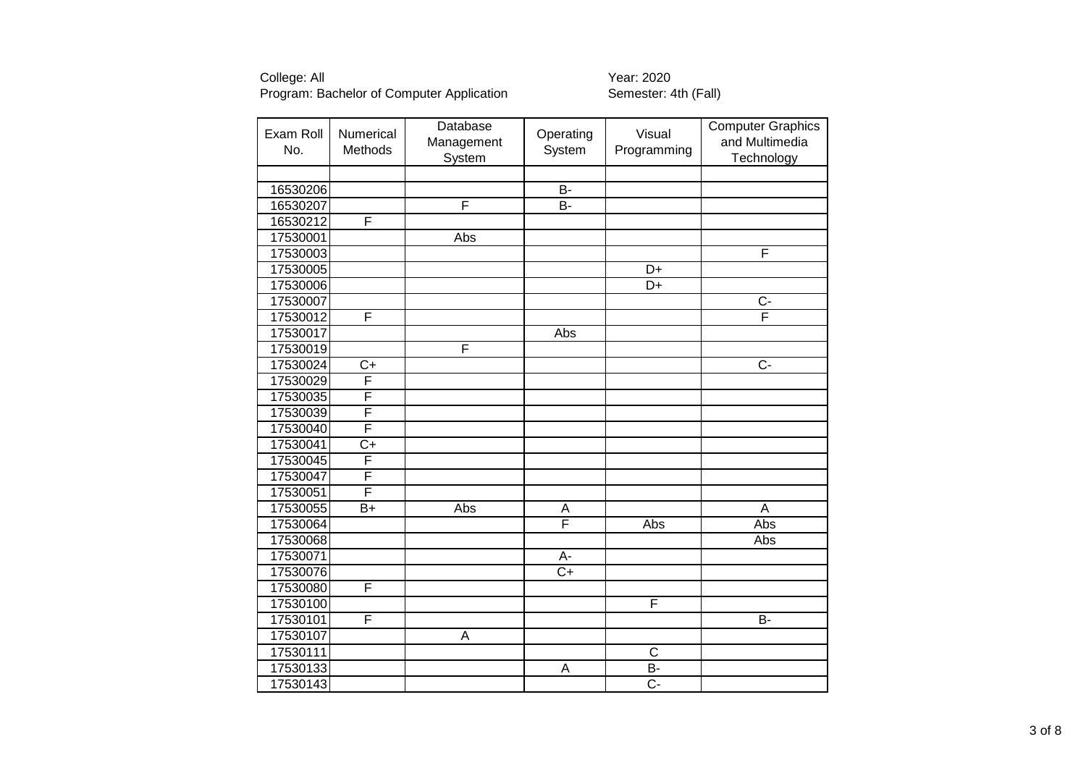| Exam Roll<br>No. | Numerical<br>Methods | Database<br>Management<br>System | Operating<br>System | Visual<br>Programming | Computer Graphics<br>and Multimedia<br>Technology |
|------------------|----------------------|----------------------------------|---------------------|-----------------------|---------------------------------------------------|
|                  |                      |                                  |                     |                       |                                                   |
| 16530206         |                      |                                  | B-                  |                       |                                                   |
| 16530207         |                      | F                                | <b>B-</b>           |                       |                                                   |
| 16530212         | F                    |                                  |                     |                       |                                                   |
| 17530001         |                      | Abs                              |                     |                       |                                                   |
| 17530003         |                      |                                  |                     |                       | F                                                 |
| 17530005         |                      |                                  |                     | D+                    |                                                   |
| 17530006         |                      |                                  |                     | D+                    |                                                   |
| 17530007         |                      |                                  |                     |                       | $\overline{C}$                                    |
| 17530012         | F                    |                                  |                     |                       | F                                                 |
| 17530017         |                      |                                  | Abs                 |                       |                                                   |
| 17530019         |                      | F                                |                     |                       |                                                   |
| 17530024         | $\overline{C}$       |                                  |                     |                       | $\overline{C}$                                    |
| 17530029         | F                    |                                  |                     |                       |                                                   |
| 17530035         | F                    |                                  |                     |                       |                                                   |
| 17530039         | F                    |                                  |                     |                       |                                                   |
| 17530040         | F                    |                                  |                     |                       |                                                   |
| 17530041         | $C+$                 |                                  |                     |                       |                                                   |
| 17530045         | F                    |                                  |                     |                       |                                                   |
| 17530047         | F                    |                                  |                     |                       |                                                   |
| 17530051         | F                    |                                  |                     |                       |                                                   |
| 17530055         | $B+$                 | Abs                              | A                   |                       | A                                                 |
| 17530064         |                      |                                  | F                   | Abs                   | Abs                                               |
| 17530068         |                      |                                  |                     |                       | Abs                                               |
| 17530071         |                      |                                  | А-                  |                       |                                                   |
| 17530076         |                      |                                  | $C+$                |                       |                                                   |
| 17530080         | F                    |                                  |                     |                       |                                                   |
| 17530100         |                      |                                  |                     | F                     |                                                   |
| 17530101         | F                    |                                  |                     |                       | <b>B-</b>                                         |
| 17530107         |                      | A                                |                     |                       |                                                   |
| 17530111         |                      |                                  |                     | $\mathsf C$           |                                                   |
| 17530133         |                      |                                  | A                   | B-                    |                                                   |
| 17530143         |                      |                                  |                     | Ċ-                    |                                                   |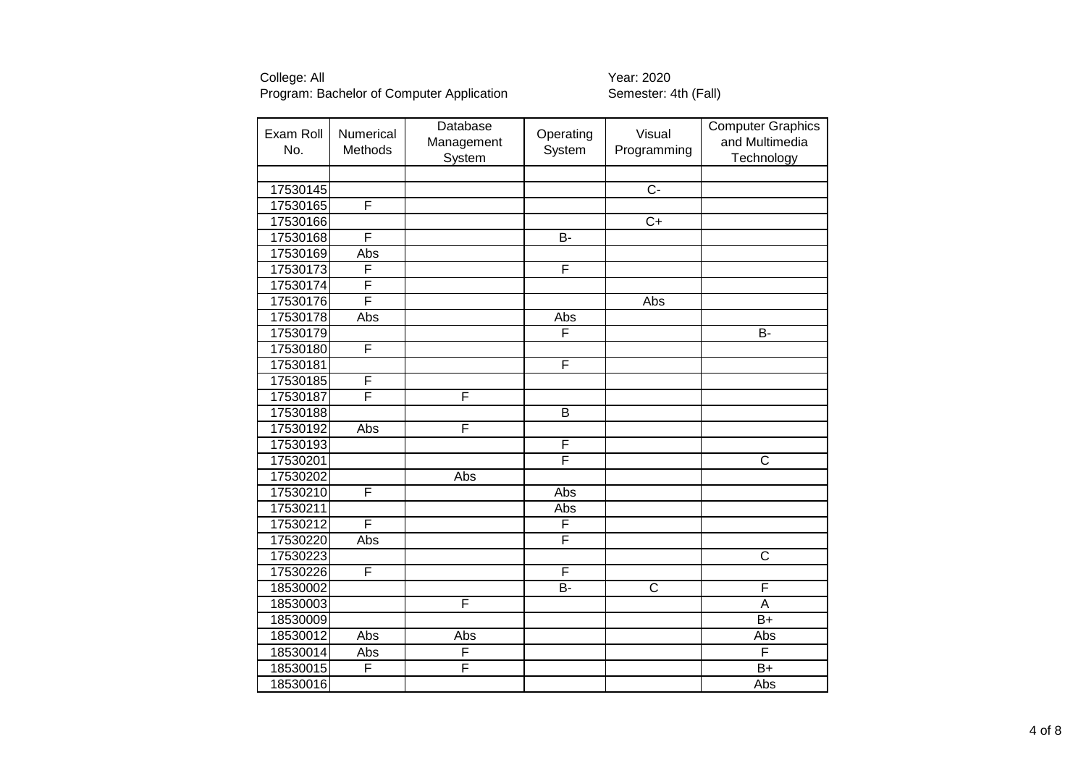| Exam Roll<br>No. | Numerical<br>Methods | Database<br>Management<br>System | Operating<br>System     | Visual<br>Programming | <b>Computer Graphics</b><br>and Multimedia<br>Technology |
|------------------|----------------------|----------------------------------|-------------------------|-----------------------|----------------------------------------------------------|
|                  |                      |                                  |                         |                       |                                                          |
| 17530145         |                      |                                  |                         | $\overline{C}$        |                                                          |
| 17530165         | F                    |                                  |                         |                       |                                                          |
| 17530166         |                      |                                  |                         | $\overline{C+}$       |                                                          |
| 17530168         | F                    |                                  | $\overline{B}$          |                       |                                                          |
| 17530169         | Abs                  |                                  |                         |                       |                                                          |
| 17530173         | F                    |                                  | F                       |                       |                                                          |
| 17530174         | F                    |                                  |                         |                       |                                                          |
| 17530176         | F                    |                                  |                         | Abs                   |                                                          |
| 17530178         | Abs                  |                                  | Abs                     |                       |                                                          |
| 17530179         |                      |                                  | F                       |                       | B-                                                       |
| 17530180         | F                    |                                  |                         |                       |                                                          |
| 17530181         |                      |                                  | F                       |                       |                                                          |
| 17530185         | F                    |                                  |                         |                       |                                                          |
| 17530187         | F                    | F                                |                         |                       |                                                          |
| 17530188         |                      |                                  | $\overline{B}$          |                       |                                                          |
| 17530192         | Abs                  | F                                |                         |                       |                                                          |
| 17530193         |                      |                                  | F                       |                       |                                                          |
| 17530201         |                      |                                  | F                       |                       | C                                                        |
| 17530202         |                      | Abs                              |                         |                       |                                                          |
| 17530210         | F                    |                                  | Abs                     |                       |                                                          |
| 17530211         |                      |                                  | Abs                     |                       |                                                          |
| 17530212         | F                    |                                  | $\overline{\mathsf{F}}$ |                       |                                                          |
| 17530220         | Abs                  |                                  | F                       |                       |                                                          |
| 17530223         |                      |                                  |                         |                       | C                                                        |
| 17530226         | F                    |                                  | F                       |                       |                                                          |
| 18530002         |                      |                                  | <b>B-</b>               | $\overline{\text{c}}$ | F                                                        |
| 18530003         |                      | F                                |                         |                       | A                                                        |
| 18530009         |                      |                                  |                         |                       | $B+$                                                     |
| 18530012         | Abs                  | Abs                              |                         |                       | Abs                                                      |
| 18530014         | Abs                  | F                                |                         |                       | F                                                        |
| 18530015         | F                    | F                                |                         |                       | $B+$                                                     |
| 18530016         |                      |                                  |                         |                       | Abs                                                      |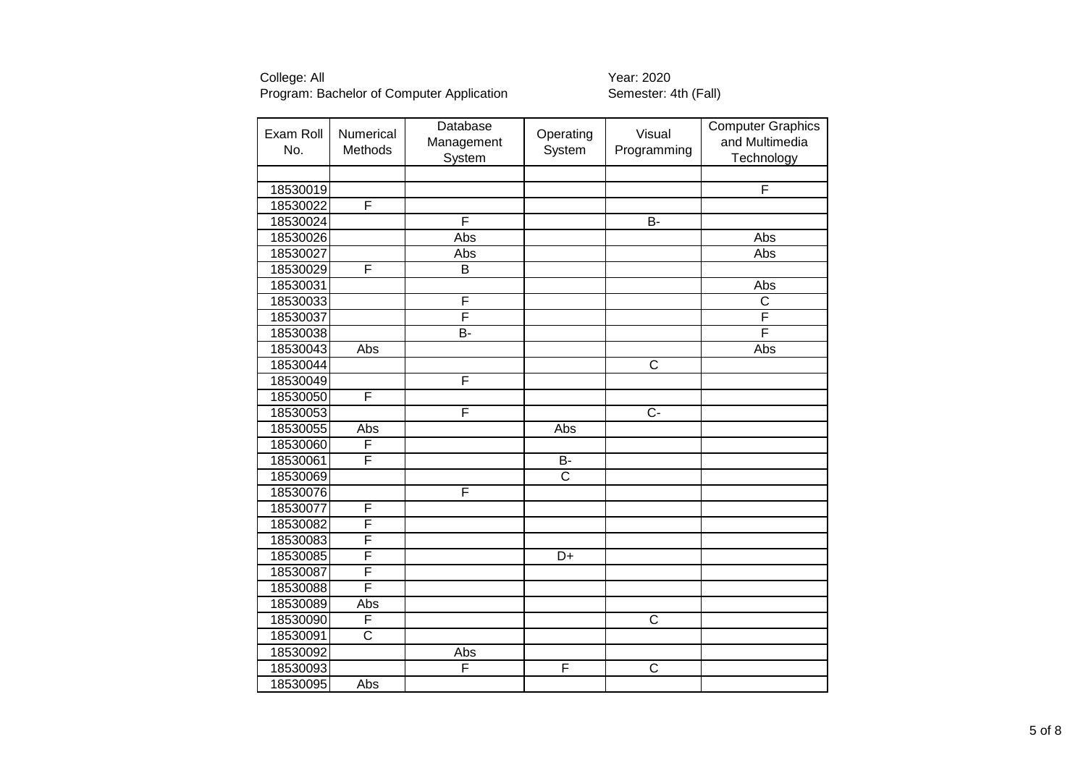| Exam Roll<br>No. | Numerical<br>Methods  | Database<br>Management<br>System | Operating<br>System   | Visual<br>Programming | <b>Computer Graphics</b><br>and Multimedia<br>Technology |
|------------------|-----------------------|----------------------------------|-----------------------|-----------------------|----------------------------------------------------------|
|                  |                       |                                  |                       |                       |                                                          |
| 18530019         |                       |                                  |                       |                       | F                                                        |
| 18530022         | F                     |                                  |                       |                       |                                                          |
| 18530024         |                       | F                                |                       | $\overline{B}$        |                                                          |
| 18530026         |                       | Abs                              |                       |                       | Abs                                                      |
| 18530027         |                       | Abs                              |                       |                       | Abs                                                      |
| 18530029         | F                     | $\overline{B}$                   |                       |                       |                                                          |
| 18530031         |                       |                                  |                       |                       | Abs                                                      |
| 18530033         |                       | F                                |                       |                       | $\overline{\text{c}}$                                    |
| 18530037         |                       | F                                |                       |                       | F                                                        |
| 18530038         |                       | B-                               |                       |                       | F                                                        |
| 18530043         | Abs                   |                                  |                       |                       | Abs                                                      |
| 18530044         |                       |                                  |                       | $\overline{C}$        |                                                          |
| 18530049         |                       | F                                |                       |                       |                                                          |
| 18530050         | F                     |                                  |                       |                       |                                                          |
| 18530053         |                       | F                                |                       | $\overline{C}$        |                                                          |
| 18530055         | Abs                   |                                  | Abs                   |                       |                                                          |
| 18530060         | F                     |                                  |                       |                       |                                                          |
| 18530061         | F                     |                                  | <b>B-</b>             |                       |                                                          |
| 18530069         |                       |                                  | $\overline{\text{c}}$ |                       |                                                          |
| 18530076         |                       | F                                |                       |                       |                                                          |
| 18530077         | F                     |                                  |                       |                       |                                                          |
| 18530082         | F                     |                                  |                       |                       |                                                          |
| 18530083         | F                     |                                  |                       |                       |                                                          |
| 18530085         | F                     |                                  | D+                    |                       |                                                          |
| 18530087         | F                     |                                  |                       |                       |                                                          |
| 18530088         | F                     |                                  |                       |                       |                                                          |
| 18530089         | Abs                   |                                  |                       |                       |                                                          |
| 18530090         | F                     |                                  |                       | $\overline{C}$        |                                                          |
| 18530091         | $\overline{\text{c}}$ |                                  |                       |                       |                                                          |
| 18530092         |                       | Abs                              |                       |                       |                                                          |
| 18530093         |                       | F                                | F                     | $\mathsf C$           |                                                          |
| 18530095         | Abs                   |                                  |                       |                       |                                                          |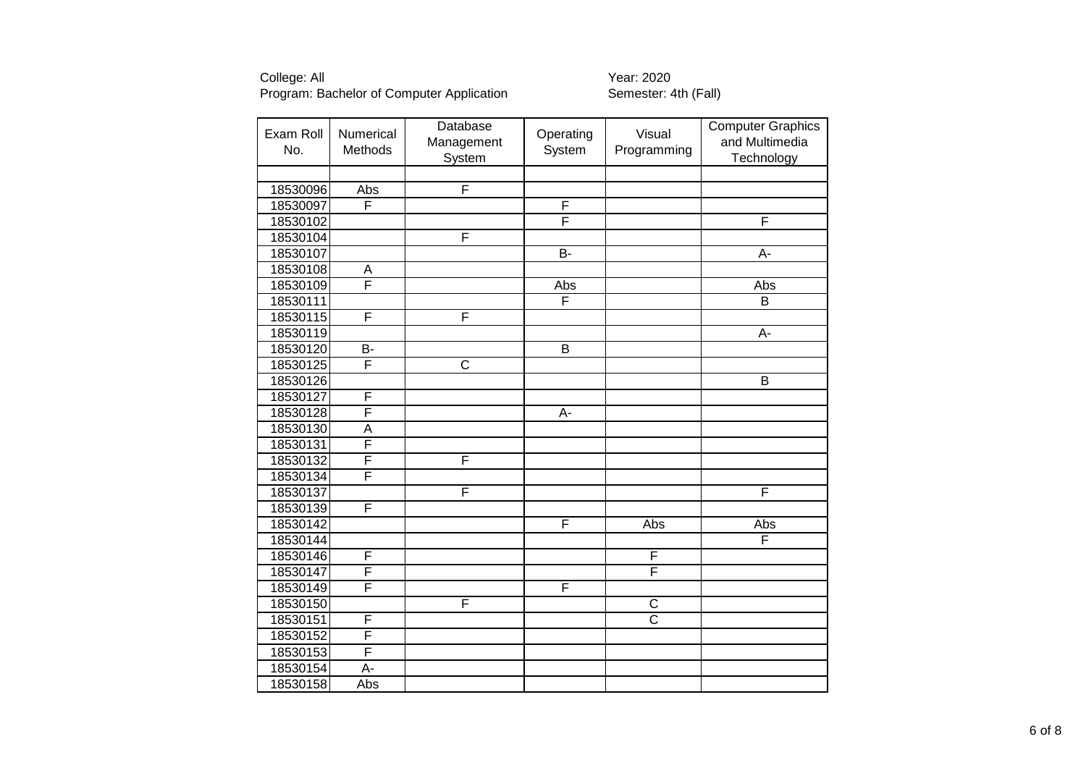| Exam Roll<br>No. | Numerical<br>Methods | Database<br>Management<br>System | Operating<br>System | Visual<br>Programming | <b>Computer Graphics</b><br>and Multimedia<br>Technology |
|------------------|----------------------|----------------------------------|---------------------|-----------------------|----------------------------------------------------------|
|                  |                      |                                  |                     |                       |                                                          |
| 18530096         | Abs                  | F                                |                     |                       |                                                          |
| 18530097         | F                    |                                  | F                   |                       |                                                          |
| 18530102         |                      |                                  | F                   |                       | F                                                        |
| 18530104         |                      | F                                |                     |                       |                                                          |
| 18530107         |                      |                                  | $B -$               |                       | $A -$                                                    |
| 18530108         | A                    |                                  |                     |                       |                                                          |
| 18530109         | F                    |                                  | Abs                 |                       | Abs                                                      |
| 18530111         |                      |                                  | F                   |                       | $\overline{\mathsf{B}}$                                  |
| 18530115         | F                    | F                                |                     |                       |                                                          |
| 18530119         |                      |                                  |                     |                       | A-                                                       |
| 18530120         | $\overline{B}$       |                                  | $\overline{B}$      |                       |                                                          |
| 18530125         | F                    | $\overline{\text{c}}$            |                     |                       |                                                          |
| 18530126         |                      |                                  |                     |                       | $\overline{B}$                                           |
| 18530127         | F                    |                                  |                     |                       |                                                          |
| 18530128         | F                    |                                  | A-                  |                       |                                                          |
| 18530130         | A                    |                                  |                     |                       |                                                          |
| 18530131         | F                    |                                  |                     |                       |                                                          |
| 18530132         | F                    | F                                |                     |                       |                                                          |
| 18530134         | F                    |                                  |                     |                       |                                                          |
| 18530137         |                      | F                                |                     |                       | F                                                        |
| 18530139         | F                    |                                  |                     |                       |                                                          |
| 18530142         |                      |                                  | F                   | Abs                   | Abs                                                      |
| 18530144         |                      |                                  |                     |                       | F                                                        |
| 18530146         | F                    |                                  |                     | $\overline{F}$        |                                                          |
| 18530147         | F                    |                                  |                     | F                     |                                                          |
| 18530149         | F                    |                                  | F                   |                       |                                                          |
| 18530150         |                      | F                                |                     | $\mathsf C$           |                                                          |
| 18530151         | F                    |                                  |                     | $\overline{\text{c}}$ |                                                          |
| 18530152         | F                    |                                  |                     |                       |                                                          |
| 18530153         | F                    |                                  |                     |                       |                                                          |
| 18530154         | A-                   |                                  |                     |                       |                                                          |
| 18530158         | Abs                  |                                  |                     |                       |                                                          |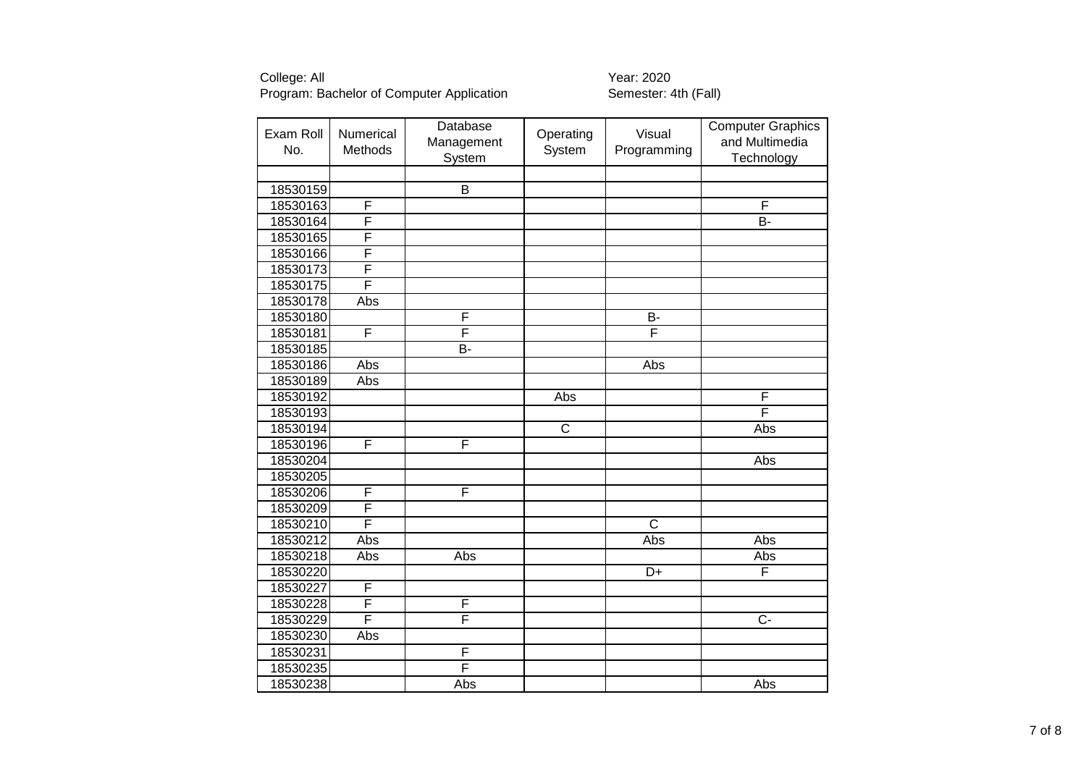| Exam Roll<br>No. | Numerical<br>Methods | Database<br>Management<br>System | Operating<br>System | Visual<br>Programming | <b>Computer Graphics</b><br>and Multimedia<br>Technology |
|------------------|----------------------|----------------------------------|---------------------|-----------------------|----------------------------------------------------------|
|                  |                      |                                  |                     |                       |                                                          |
| 18530159         |                      | B                                |                     |                       |                                                          |
| 18530163         | F                    |                                  |                     |                       | F                                                        |
| 18530164         | F                    |                                  |                     |                       | B-                                                       |
| 18530165         | F                    |                                  |                     |                       |                                                          |
| 18530166         | F                    |                                  |                     |                       |                                                          |
| 18530173         | F                    |                                  |                     |                       |                                                          |
| 18530175         | F                    |                                  |                     |                       |                                                          |
| 18530178         | Abs                  |                                  |                     |                       |                                                          |
| 18530180         |                      | F                                |                     | B-                    |                                                          |
| 18530181         | F                    | F                                |                     | F                     |                                                          |
| 18530185         |                      | B-                               |                     |                       |                                                          |
| 18530186         | Abs                  |                                  |                     | Abs                   |                                                          |
| 18530189         | Abs                  |                                  |                     |                       |                                                          |
| 18530192         |                      |                                  | Abs                 |                       | F                                                        |
| 18530193         |                      |                                  |                     |                       | F                                                        |
| 18530194         |                      |                                  | $\mathsf{C}$        |                       | Abs                                                      |
| 18530196         | F                    | F                                |                     |                       |                                                          |
| 18530204         |                      |                                  |                     |                       | Abs                                                      |
| 18530205         |                      |                                  |                     |                       |                                                          |
| 18530206         | F                    | F                                |                     |                       |                                                          |
| 18530209         | F                    |                                  |                     |                       |                                                          |
| 18530210         | F                    |                                  |                     | $\overline{\text{c}}$ |                                                          |
| 18530212         | Abs                  |                                  |                     | Abs                   | Abs                                                      |
| 18530218         | Abs                  | Abs                              |                     |                       | Abs                                                      |
| 18530220         |                      |                                  |                     | D+                    | F                                                        |
| 18530227         | F                    |                                  |                     |                       |                                                          |
| 18530228         | F                    | F                                |                     |                       |                                                          |
| 18530229         | F                    | F                                |                     |                       | $C -$                                                    |
| 18530230         | Abs                  |                                  |                     |                       |                                                          |
| 18530231         |                      | F                                |                     |                       |                                                          |
| 18530235         |                      | F                                |                     |                       |                                                          |
| 18530238         |                      | Abs                              |                     |                       | Abs                                                      |